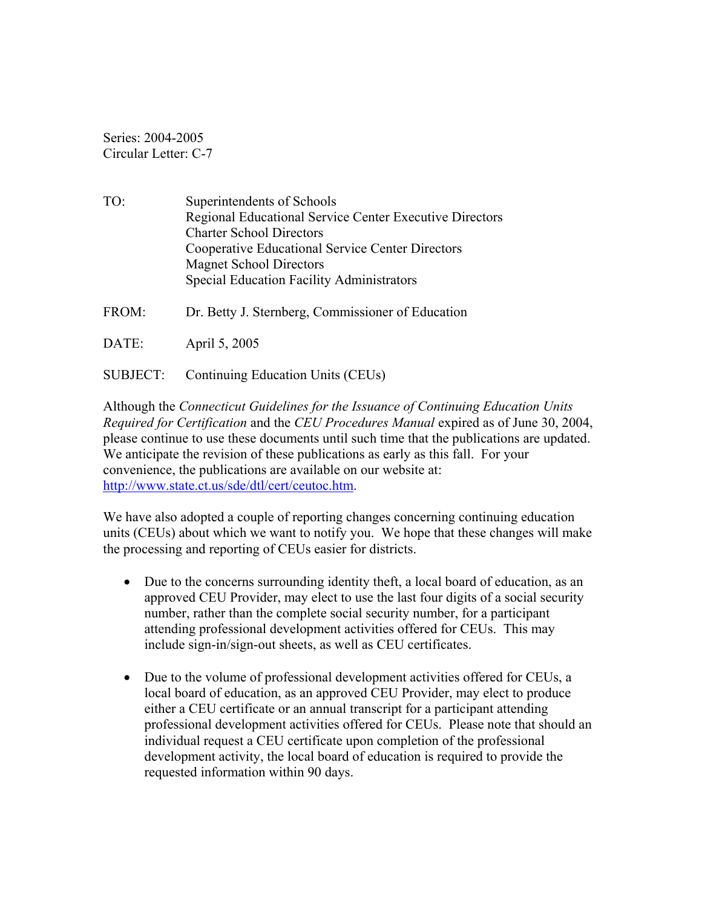Series: 2004-2005 Circular Letter: C-7

- TO: Superintendents of Schools Regional Educational Service Center Executive Directors Charter School Directors Cooperative Educational Service Center Directors Magnet School Directors Special Education Facility Administrators
- FROM: Dr. Betty J. Sternberg, Commissioner of Education
- DATE: April 5, 2005
- SUBJECT: Continuing Education Units (CEUs)

Although the *Connecticut Guidelines for the Issuance of Continuing Education Units Required for Certification* and the *CEU Procedures Manual* expired as of June 30, 2004, please continue to use these documents until such time that the publications are updated. We anticipate the revision of these publications as early as this fall. For your convenience, the publications are available on our website at: [http://www.state.ct.us/sde/dtl/cert/ceutoc.htm.](http://www.state.ct.us/sde/dtl/cert/ceutoc.htm)

We have also adopted a couple of reporting changes concerning continuing education units (CEUs) about which we want to notify you. We hope that these changes will make the processing and reporting of CEUs easier for districts.

- Due to the concerns surrounding identity theft, a local board of education, as an approved CEU Provider, may elect to use the last four digits of a social security number, rather than the complete social security number, for a participant attending professional development activities offered for CEUs. This may include sign-in/sign-out sheets, as well as CEU certificates.
- Due to the volume of professional development activities offered for CEUs, a local board of education, as an approved CEU Provider, may elect to produce either a CEU certificate or an annual transcript for a participant attending professional development activities offered for CEUs. Please note that should an individual request a CEU certificate upon completion of the professional development activity, the local board of education is required to provide the requested information within 90 days.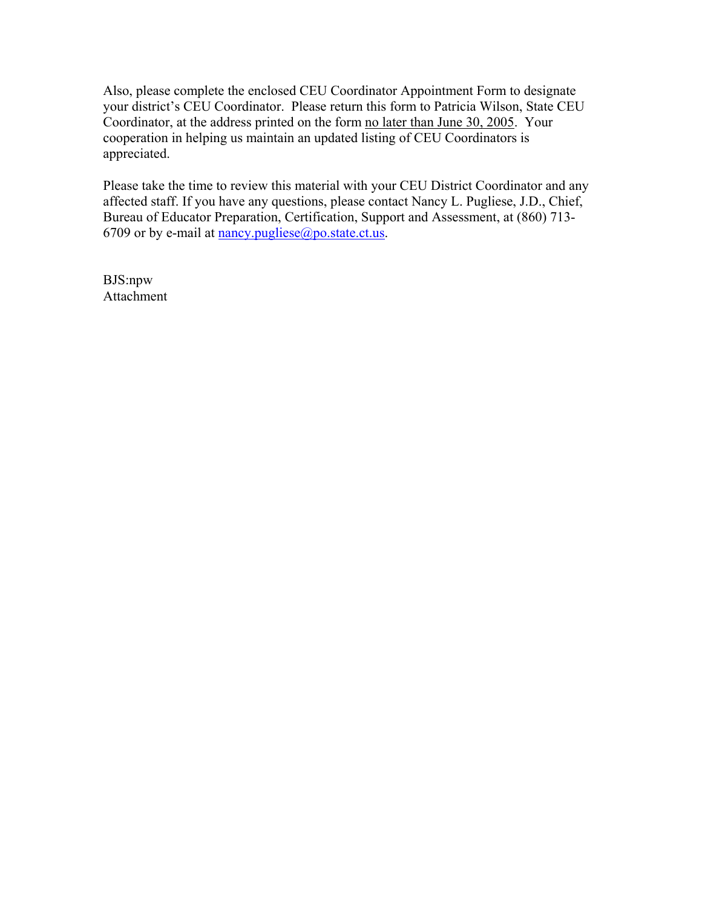Also, please complete the enclosed CEU Coordinator Appointment Form to designate your district's CEU Coordinator. Please return this form to Patricia Wilson, State CEU Coordinator, at the address printed on the form no later than June 30, 2005. Your cooperation in helping us maintain an updated listing of CEU Coordinators is appreciated.

Please take the time to review this material with your CEU District Coordinator and any affected staff. If you have any questions, please contact Nancy L. Pugliese, J.D., Chief, Bureau of Educator Preparation, Certification, Support and Assessment, at (860) 713 6709 or by e-mail at [nancy.pugliese@po.state.ct.us.](mailto:nancy.pugliese@po.state.ct.us)

BJS:npw Attachment